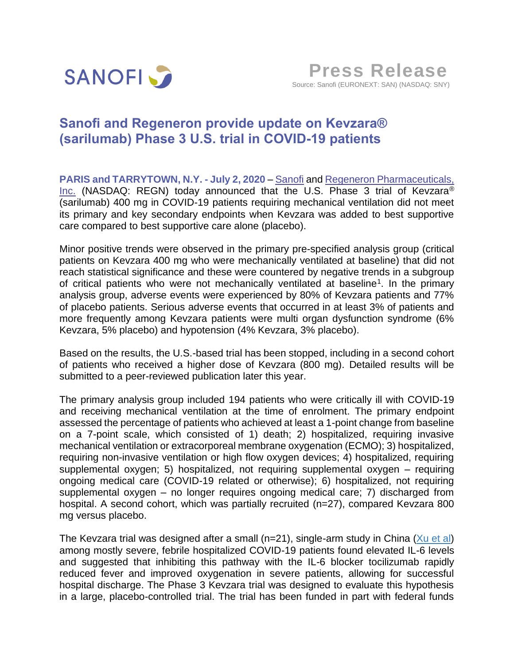

# **Sanofi and Regeneron provide update on Kevzara® (sarilumab) Phase 3 U.S. trial in COVID-19 patients**

**PARIS and TARRYTOWN, N.Y. - July 2, 2020** – [Sanofi](https://www.sanofi.com/en) and [Regeneron Pharmaceuticals,](http://regeneron.com/)  [Inc.](http://regeneron.com/) (NASDAQ: REGN) today announced that the U.S. Phase 3 trial of Kevzara<sup>®</sup> (sarilumab) 400 mg in COVID-19 patients requiring mechanical ventilation did not meet its primary and key secondary endpoints when Kevzara was added to best supportive care compared to best supportive care alone (placebo).

Minor positive trends were observed in the primary pre-specified analysis group (critical patients on Kevzara 400 mg who were mechanically ventilated at baseline) that did not reach statistical significance and these were countered by negative trends in a subgroup of critical patients who were not mechanically ventilated at baseline<sup>1</sup>. In the primary analysis group, adverse events were experienced by 80% of Kevzara patients and 77% of placebo patients. Serious adverse events that occurred in at least 3% of patients and more frequently among Kevzara patients were multi organ dysfunction syndrome (6% Kevzara, 5% placebo) and hypotension (4% Kevzara, 3% placebo).

Based on the results, the U.S.-based trial has been stopped, including in a second cohort of patients who received a higher dose of Kevzara (800 mg). Detailed results will be submitted to a peer-reviewed publication later this year.

The primary analysis group included 194 patients who were critically ill with COVID-19 and receiving mechanical ventilation at the time of enrolment. The primary endpoint assessed the percentage of patients who achieved at least a 1-point change from baseline on a 7-point scale, which consisted of 1) death; 2) hospitalized, requiring invasive mechanical ventilation or extracorporeal membrane oxygenation (ECMO); 3) hospitalized, requiring non-invasive ventilation or high flow oxygen devices; 4) hospitalized, requiring supplemental oxygen; 5) hospitalized, not requiring supplemental oxygen – requiring ongoing medical care (COVID-19 related or otherwise); 6) hospitalized, not requiring supplemental oxygen – no longer requires ongoing medical care; 7) discharged from hospital. A second cohort, which was partially recruited (n=27), compared Kevzara 800 mg versus placebo.

The Kevzara trial was designed after a small ( $n=21$ ), single-arm study in China ( $Xu$  et al) among mostly severe, febrile hospitalized COVID-19 patients found elevated IL-6 levels and suggested that inhibiting this pathway with the IL-6 blocker tocilizumab rapidly reduced fever and improved oxygenation in severe patients, allowing for successful hospital discharge. The Phase 3 Kevzara trial was designed to evaluate this hypothesis in a large, placebo-controlled trial. The trial has been funded in part with federal funds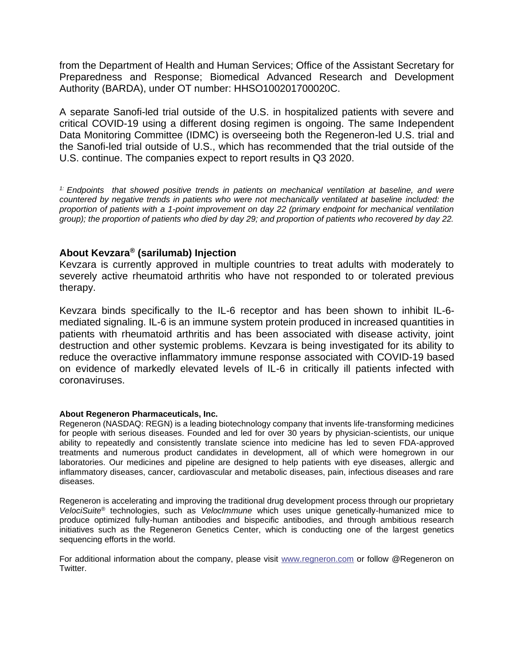from the Department of Health and Human Services; Office of the Assistant Secretary for Preparedness and Response; Biomedical Advanced Research and Development Authority (BARDA), under OT number: HHSO100201700020C.

A separate Sanofi-led trial outside of the U.S. in hospitalized patients with severe and critical COVID-19 using a different dosing regimen is ongoing. The same Independent Data Monitoring Committee (IDMC) is overseeing both the Regeneron-led U.S. trial and the Sanofi-led trial outside of U.S., which has recommended that the trial outside of the U.S. continue. The companies expect to report results in Q3 2020.

*1: Endpoints that showed positive trends in patients on mechanical ventilation at baseline, and were countered by negative trends in patients who were not mechanically ventilated at baseline included: the proportion of patients with a 1-point improvement on day 22 (primary endpoint for mechanical ventilation group); the proportion of patients who died by day 29; and proportion of patients who recovered by day 22.*

# **About Kevzara® (sarilumab) Injection**

Kevzara is currently approved in multiple countries to treat adults with moderately to severely active rheumatoid arthritis who have not responded to or tolerated previous therapy.

Kevzara binds specifically to the IL-6 receptor and has been shown to inhibit IL-6 mediated signaling. IL-6 is an immune system protein produced in increased quantities in patients with rheumatoid arthritis and has been associated with disease activity, joint destruction and other systemic problems. Kevzara is being investigated for its ability to reduce the overactive inflammatory immune response associated with COVID-19 based on evidence of markedly elevated levels of IL-6 in critically ill patients infected with coronaviruses.

## **About Regeneron Pharmaceuticals, Inc.**

Regeneron (NASDAQ: REGN) is a leading biotechnology company that invents life-transforming medicines for people with serious diseases. Founded and led for over 30 years by physician-scientists, our unique ability to repeatedly and consistently translate science into medicine has led to seven FDA-approved treatments and numerous product candidates in development, all of which were homegrown in our laboratories. Our medicines and pipeline are designed to help patients with eye diseases, allergic and inflammatory diseases, cancer, cardiovascular and metabolic diseases, pain, infectious diseases and rare diseases.

Regeneron is accelerating and improving the traditional drug development process through our proprietary *VelociSuite*® technologies, such as *VelocImmune* which uses unique genetically-humanized mice to produce optimized fully-human antibodies and bispecific antibodies, and through ambitious research initiatives such as the Regeneron Genetics Center, which is conducting one of the largest genetics sequencing efforts in the world.

For additional information about the company, please visit [www.regneron.com](http://www.regneron.com/) or follow @Regeneron on Twitter.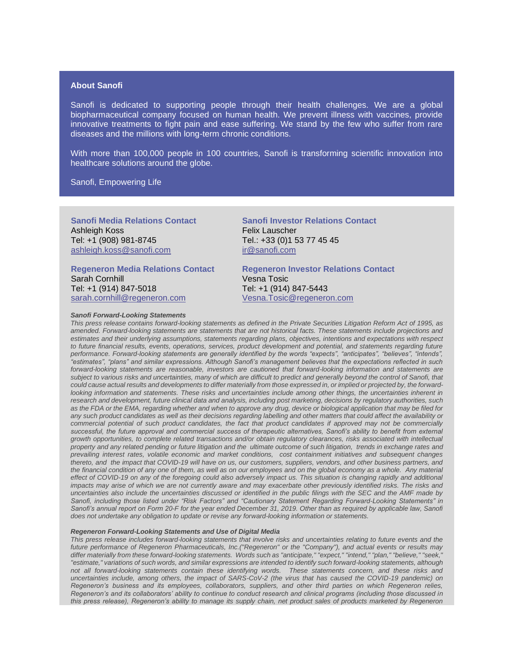## **About Sanofi**

Sanofi is dedicated to supporting people through their health challenges. We are a global biopharmaceutical company focused on human health. We prevent illness with vaccines, provide innovative treatments to fight pain and ease suffering. We stand by the few who suffer from rare diseases and the millions with long-term chronic conditions.

With more than 100,000 people in 100 countries, Sanofi is transforming scientific innovation into healthcare solutions around the globe.

Sanofi, Empowering Life

**Sanofi Media Relations Contact** Ashleigh Koss Tel: +1 (908) 981-8745 [ashleigh.koss@sanofi.com](mailto:ashleigh.koss@sanofi.com) 

**Regeneron Media Relations Contact** Sarah Cornhill Tel: +1 (914) 847-5018 [sarah.cornhill@regeneron.com](mailto:daren.kwok@regeneron.com)

#### *Sanofi Forward-Looking Statements*

**Sanofi Investor Relations Contact** Felix Lauscher Tel.: +33 (0)1 53 77 45 45 [ir@sanofi.com](mailto:ir@sanofi.com)

**Regeneron Investor Relations Contact** Vesna Tosic Tel: +1 (914) 847-5443 [Vesna.Tosic@regeneron.com](mailto:Vesna.Tosic@regeneron.com)

*This press release contains forward-looking statements as defined in the Private Securities Litigation Reform Act of 1995, as amended. Forward-looking statements are statements that are not historical facts. These statements include projections and estimates and their underlying assumptions, statements regarding plans, objectives, intentions and expectations with respect to future financial results, events, operations, services, product development and potential, and statements regarding future performance. Forward-looking statements are generally identified by the words "expects", "anticipates", "believes", "intends", "estimates", "plans" and similar expressions. Although Sanofi's management believes that the expectations reflected in such forward-looking statements are reasonable, investors are cautioned that forward-looking information and statements are subject to various risks and uncertainties, many of which are difficult to predict and generally beyond the control of Sanofi, that could cause actual results and developments to differ materially from those expressed in, or implied or projected by, the forwardlooking information and statements. These risks and uncertainties include among other things, the uncertainties inherent in research and development, future clinical data and analysis, including post marketing, decisions by regulatory authorities, such as the FDA or the EMA, regarding whether and when to approve any drug, device or biological application that may be filed for any such product candidates as well as their decisions regarding labelling and other matters that could affect the availability or commercial potential of such product candidates, the fact that product candidates if approved may not be commercially successful, the future approval and commercial success of therapeutic alternatives, Sanofi's ability to benefit from external growth opportunities, to complete related transactions and/or obtain regulatory clearances, risks associated with intellectual property and any related pending or future litigation and the ultimate outcome of such litigation, trends in exchange rates and prevailing interest rates, volatile economic and market conditions, cost containment initiatives and subsequent changes thereto, and the impact that COVID-19 will have on us, our customers, suppliers, vendors, and other business partners, and the financial condition of any one of them, as well as on our employees and on the global economy as a whole. Any material effect of COVID-19 on any of the foregoing could also adversely impact us. This situation is changing rapidly and additional impacts may arise of which we are not currently aware and may exacerbate other previously identified risks. The risks and uncertainties also include the uncertainties discussed or identified in the public filings with the SEC and the AMF made by Sanofi, including those listed under "Risk Factors" and "Cautionary Statement Regarding Forward-Looking Statements" in*  Sanofi's annual report on Form 20-F for the year ended December 31, 2019. Other than as required by applicable law, Sanofi *does not undertake any obligation to update or revise any forward-looking information or statements.*

### *Regeneron Forward-Looking Statements and Use of Digital Media*

*This press release includes forward-looking statements that involve risks and uncertainties relating to future events and the future performance of Regeneron Pharmaceuticals, Inc.("Regeneron" or the "Company"), and actual events or results may differ materially from these forward-looking statements. Words such as "anticipate," "expect," "intend," "plan," "believe," "seek," "estimate," variations of such words, and similar expressions are intended to identify such forward-looking statements, although not all forward-looking statements contain these identifying words. These statements concern, and these risks and uncertainties include, among others, the impact of SARS-CoV-2 (the virus that has caused the COVID-19 pandemic) on Regeneron's business and its employees, collaborators, suppliers, and other third parties on which Regeneron relies, Regeneron's and its collaborators' ability to continue to conduct research and clinical programs (including those discussed in this press release), Regeneron's ability to manage its supply chain, net product sales of products marketed by Regeneron*